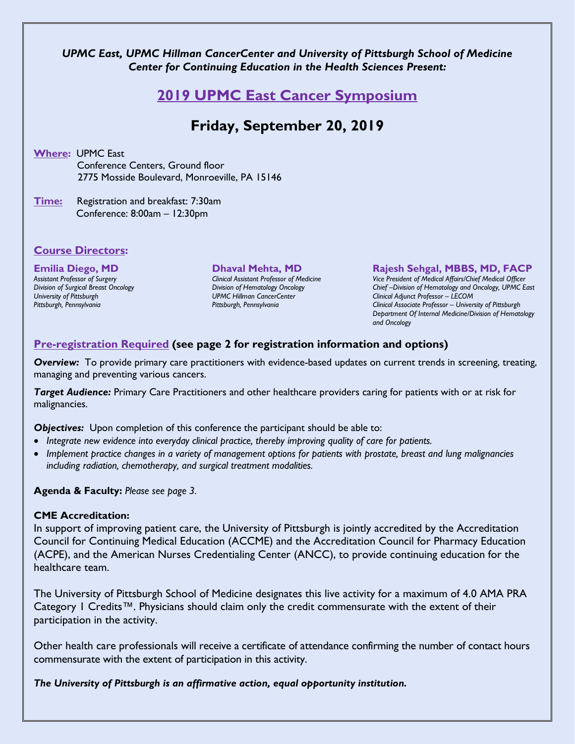### *UPMC East, UPMC Hillman CancerCenter and University of Pittsburgh School of Medicine Center for Continuing Education in the Health Sciences Present:*

## **2019 UPMC East Cancer Symposium**

# **Friday, September 20, 2019**

**Where:** UPMC East Conference Centers, Ground floor 2775 Mosside Boulevard, Monroeville, PA 15146

**Time:** Registration and breakfast: 7:30am Conference: 8:00am – 12:30pm

#### **Course Directors:**

## **Emilia Diego, MD** *Assistant Professor of Surgery*

*Division of Surgical Breast Oncology University of Pittsburgh Pittsburgh, Pennsylvania*

#### **Dhaval Mehta, MD**

*Clinical Assistant Professor of Medicine Division of Hematology Oncology UPMC Hillman CancerCenter Pittsburgh, Pennsylvania*

#### **Rajesh Sehgal, MBBS, MD, FACP**

*Vice President of Medical Affairs/Chief Medical Officer Chief –Division of Hematology and Oncology, UPMC East Clinical Adjunct Professor – LECOM Clinical Associate Professor – University of Pittsburgh Department Of Internal Medicine/Division of Hematology and Oncology*

### **Pre-registration Required (see page 2 for registration information and options)**

*Overview:* To provide primary care practitioners with evidence-based updates on current trends in screening, treating, managing and preventing various cancers.

*Target Audience:* Primary Care Practitioners and other healthcare providers caring for patients with or at risk for malignancies.

**Objectives:** Upon completion of this conference the participant should be able to:

- *Integrate new evidence into everyday clinical practice, thereby improving quality of care for patients.*
- *Implement practice changes in a variety of management options for patients with prostate, breast and lung malignancies including radiation, chemotherapy, and surgical treatment modalities.*

**Agenda & Faculty:** *Please see page 3.*

#### **CME Accreditation:**

In support of improving patient care, the University of Pittsburgh is jointly accredited by the Accreditation Council for Continuing Medical Education (ACCME) and the Accreditation Council for Pharmacy Education (ACPE), and the American Nurses Credentialing Center (ANCC), to provide continuing education for the healthcare team.

The University of Pittsburgh School of Medicine designates this live activity for a maximum of 4.0 AMA PRA Category 1 Credits™. Physicians should claim only the credit commensurate with the extent of their participation in the activity.

Other health care professionals will receive a certificate of attendance confirming the number of contact hours commensurate with the extent of participation in this activity.

*The University of Pittsburgh is an affirmative action, equal opportunity institution.*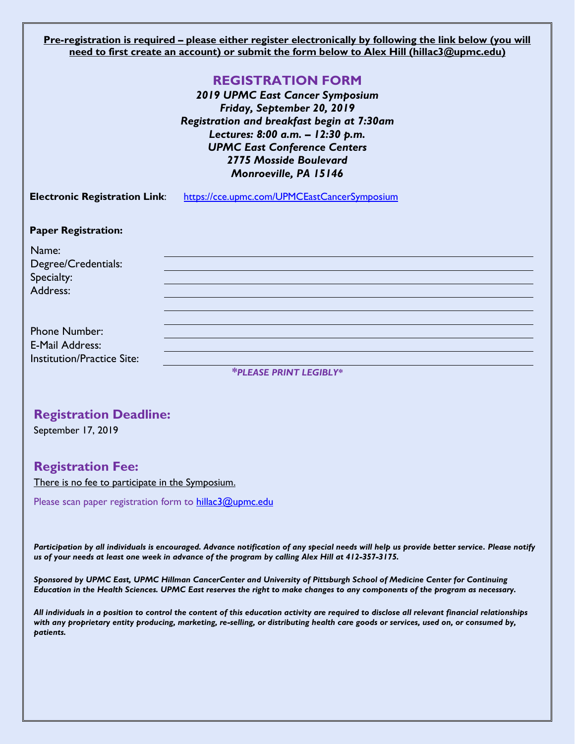**Pre-registration is required – please either register electronically by following the link below (you will need to first create an account) or submit the form below to Alex Hill (hillac3@upmc.edu)**

## **REGISTRATION FORM**

*2019 UPMC East Cancer Symposium Friday, September 20, 2019 Registration and breakfast begin at 7:30am Lectures: 8:00 a.m. – 12:30 p.m. UPMC East Conference Centers 2775 Mosside Boulevard Monroeville, PA 15146*

**Electronic Registration Link**: <https://cce.upmc.com/UPMCEastCancerSymposium>

#### **Paper Registration:**

Name: Degree/Credentials: Specialty: Address:

Phone Number: E-Mail Address: Institution/Practice Site:

*\*PLEASE PRINT LEGIBLY\**

## **Registration Deadline:**

September 17, 2019

## **Registration Fee:**

There is no fee to participate in the Symposium.

Please scan paper registration form to [hillac3@upmc.edu](mailto:hillac3@upmc.edu)

*Participation by all individuals is encouraged. Advance notification of any special needs will help us provide better service. Please notify us of your needs at least one week in advance of the program by calling Alex Hill at 412-357-3175.* 

*Sponsored by UPMC East, UPMC Hillman CancerCenter and University of Pittsburgh School of Medicine Center for Continuing Education in the Health Sciences. UPMC East reserves the right to make changes to any components of the program as necessary.*

*All individuals in a position to control the content of this education activity are required to disclose all relevant financial relationships with any proprietary entity producing, marketing, re-selling, or distributing health care goods or services, used on, or consumed by, patients.*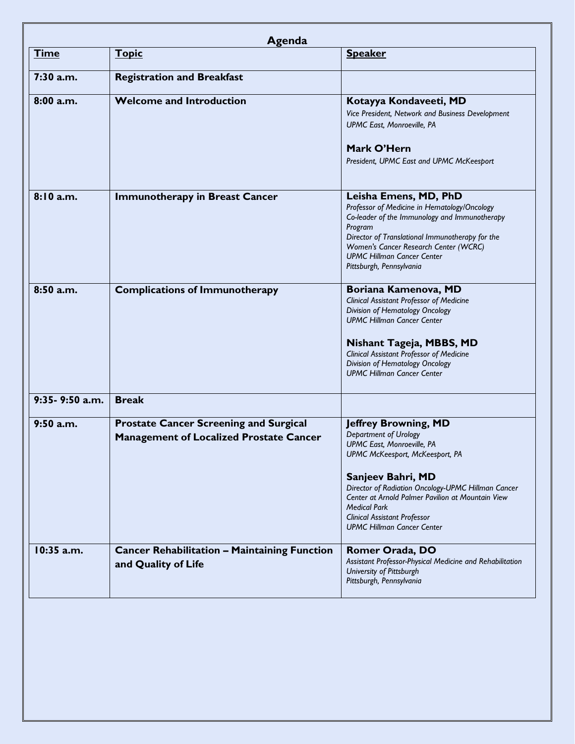| <b>Time</b>               | <b>Topic</b>                                                                                    | <b>Speaker</b>                                                                                                                                                                                                                                                                                         |
|---------------------------|-------------------------------------------------------------------------------------------------|--------------------------------------------------------------------------------------------------------------------------------------------------------------------------------------------------------------------------------------------------------------------------------------------------------|
|                           |                                                                                                 |                                                                                                                                                                                                                                                                                                        |
| $7:30$ a.m.               | <b>Registration and Breakfast</b>                                                               |                                                                                                                                                                                                                                                                                                        |
| 8:00 a.m.                 | <b>Welcome and Introduction</b>                                                                 | Kotayya Kondaveeti, MD<br>Vice President, Network and Business Development<br>UPMC East, Monroeville, PA                                                                                                                                                                                               |
|                           |                                                                                                 | Mark O'Hern<br>President, UPMC East and UPMC McKeesport                                                                                                                                                                                                                                                |
| 8:10 a.m.                 | <b>Immunotherapy in Breast Cancer</b>                                                           | Leisha Emens, MD, PhD<br>Professor of Medicine in Hematology/Oncology<br>Co-leader of the Immunology and Immunotherapy<br>Program<br>Director of Translational Immunotherapy for the<br>Women's Cancer Research Center (WCRC)<br><b>UPMC Hillman Cancer Center</b><br>Pittsburgh, Pennsylvania         |
| 8:50 a.m.                 | <b>Complications of Immunotherapy</b>                                                           | Boriana Kamenova, MD<br><b>Clinical Assistant Professor of Medicine</b><br>Division of Hematology Oncology<br><b>UPMC Hillman Cancer Center</b><br>Nishant Tageja, MBBS, MD<br><b>Clinical Assistant Professor of Medicine</b><br>Division of Hematology Oncology<br><b>UPMC Hillman Cancer Center</b> |
| $9:35 - 9:50$ a.m.        | <b>Break</b>                                                                                    |                                                                                                                                                                                                                                                                                                        |
| $9:50$ a.m.<br>10:35 a.m. | <b>Prostate Cancer Screening and Surgical</b><br><b>Management of Localized Prostate Cancer</b> | <b>Jeffrey Browning, MD</b><br>Department of Urology<br>UPMC East, Monroeville, PA<br>UPMC McKeesport, McKeesport, PA<br>Sanjeev Bahri, MD<br>Director of Radiation Oncology-UPMC Hillman Cancer                                                                                                       |
|                           | <b>Cancer Rehabilitation - Maintaining Function</b>                                             | Center at Arnold Palmer Pavilion at Mountain View<br><b>Medical Park</b><br><b>Clinical Assistant Professor</b><br><b>UPMC Hillman Cancer Center</b><br>Romer Orada, DO                                                                                                                                |
|                           | and Quality of Life                                                                             | Assistant Professor-Physical Medicine and Rehabilitation<br>University of Pittsburgh<br>Pittsburgh, Pennsylvania                                                                                                                                                                                       |